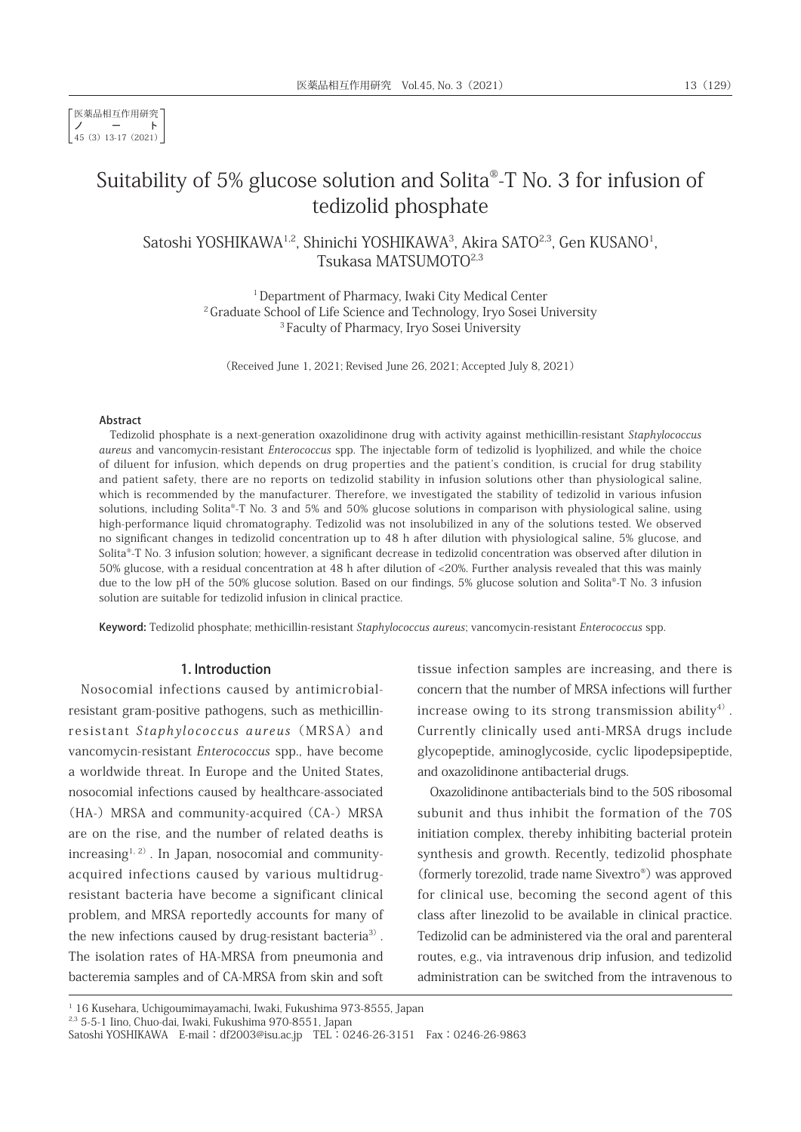医薬品相互作用研究 ノート 45(3)13-17(2021)

# Suitability of 5% glucose solution and Solita®-T No. 3 for infusion of tedizolid phosphate

Satoshi YOSHIKAWA½, Shinichi YOSHIKAWA¾, Akira SATO2,3, Gen KUSANO½ Tsukasa MATSUMOTO2,3

> <sup>1</sup> Department of Pharmacy, Iwaki City Medical Center <sup>2</sup> Graduate School of Life Science and Technology, Iryo Sosei University <sup>3</sup> Faculty of Pharmacy, Iryo Sosei University

(Received June 1, 2021; Revised June 26, 2021; Accepted July 8, 2021)

#### Abstract

Tedizolid phosphate is a next-generation oxazolidinone drug with activity against methicillin-resistant Staphylococcus aureus and vancomycin-resistant Enterococcus spp. The injectable form of tedizolid is lyophilized, and while the choice of diluent for infusion, which depends on drug properties and the patient's condition, is crucial for drug stability and patient safety, there are no reports on tedizolid stability in infusion solutions other than physiological saline, which is recommended by the manufacturer. Therefore, we investigated the stability of tedizolid in various infusion solutions, including Solita®-T No. 3 and 5% and 50% glucose solutions in comparison with physiological saline, using high-performance liquid chromatography. Tedizolid was not insolubilized in any of the solutions tested. We observed no significant changes in tedizolid concentration up to 48 h after dilution with physiological saline, 5% glucose, and Solita®-T No. 3 infusion solution; however, a significant decrease in tedizolid concentration was observed after dilution in 50% glucose, with a residual concentration at 48 h after dilution of <20%. Further analysis revealed that this was mainly due to the low pH of the 50% glucose solution. Based on our findings, 5% glucose solution and Solita®-T No. 3 infusion solution are suitable for tedizolid infusion in clinical practice.

Keyword: Tedizolid phosphate; methicillin-resistant Staphylococcus aureus; vancomycin-resistant Enterococcus spp.

## 1. Introduction

Nosocomial infections caused by antimicrobialresistant gram-positive pathogens, such as methicillinresistant Staphylococcus aureus (MRSA) and vancomycin-resistant Enterococcus spp., have become a worldwide threat. In Europe and the United States, nosocomial infections caused by healthcare-associated (HA-) MRSA and community-acquired (CA-) MRSA are on the rise, and the number of related deaths is  $increasing<sup>1, 2)</sup>$ . In Japan, nosocomial and communityacquired infections caused by various multidrugresistant bacteria have become a significant clinical problem, and MRSA reportedly accounts for many of the new infections caused by drug-resistant bacteria<sup>3)</sup>. The isolation rates of HA-MRSA from pneumonia and bacteremia samples and of CA-MRSA from skin and soft

tissue infection samples are increasing, and there is concern that the number of MRSA infections will further increase owing to its strong transmission ability<sup>4)</sup>. Currently clinically used anti-MRSA drugs include glycopeptide, aminoglycoside, cyclic lipodepsipeptide, and oxazolidinone antibacterial drugs.

Oxazolidinone antibacterials bind to the 50S ribosomal subunit and thus inhibit the formation of the 70S initiation complex, thereby inhibiting bacterial protein synthesis and growth. Recently, tedizolid phosphate (formerly torezolid, trade name Sivextro®) was approved for clinical use, becoming the second agent of this class after linezolid to be available in clinical practice. Tedizolid can be administered via the oral and parenteral routes, e.g., via intravenous drip infusion, and tedizolid administration can be switched from the intravenous to

<sup>&</sup>lt;sup>1</sup> 16 Kusehara, Uchigoumimayamachi, Iwaki, Fukushima 973-8555, Japan

<sup>2,3</sup> 5-5-1 Iino, Chuo-dai, Iwaki, Fukushima 970-8551, Japan

Satoshi YOSHIKAWA E-mail:df2003@isu.ac.jp TEL:0246-26-3151 Fax:0246-26-9863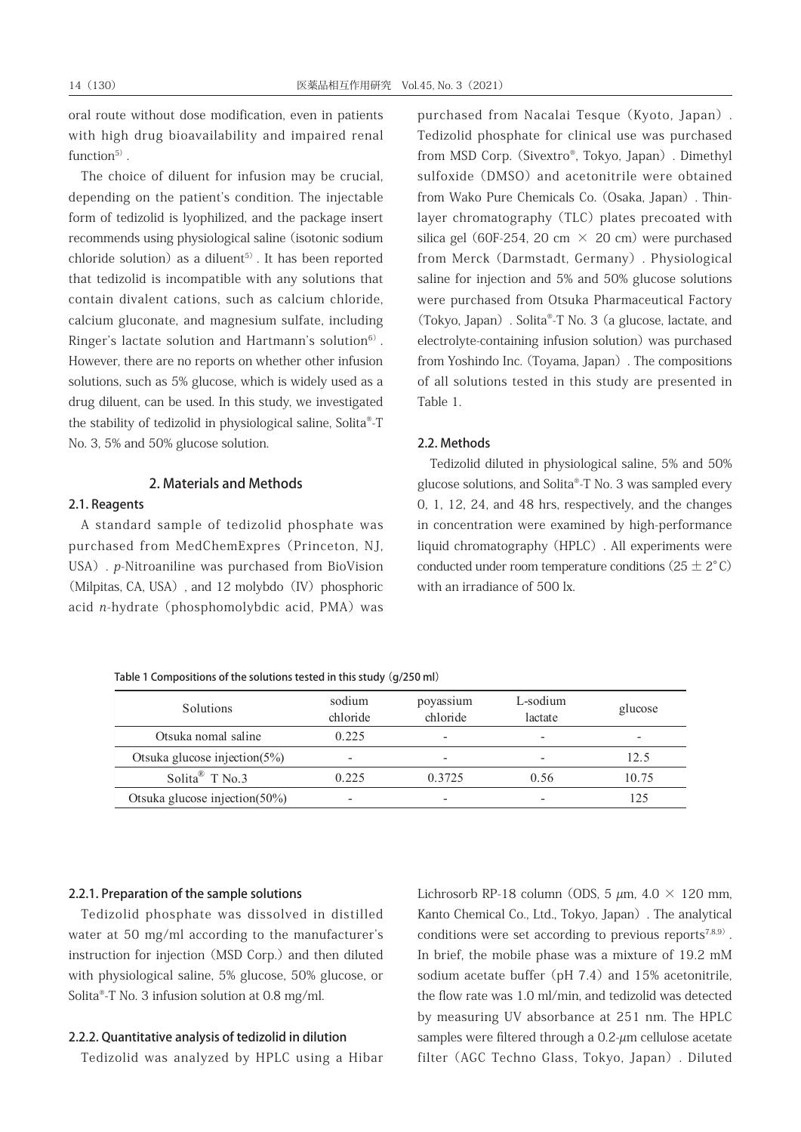oral route without dose modification, even in patients with high drug bioavailability and impaired renal function $5$ ).

The choice of diluent for infusion may be crucial, depending on the patient's condition. The injectable form of tedizolid is lyophilized, and the package insert recommends using physiological saline (isotonic sodium chloride solution) as a diluent<sup>5)</sup>. It has been reported that tedizolid is incompatible with any solutions that contain divalent cations, such as calcium chloride, calcium gluconate, and magnesium sulfate, including Ringer's lactate solution and Hartmann's solution $6$ <sup>6)</sup>. However, there are no reports on whether other infusion solutions, such as 5% glucose, which is widely used as a drug diluent, can be used. In this study, we investigated the stability of tedizolid in physiological saline, Solita®-T No. 3, 5% and 50% glucose solution.

## 2. Materials and Methods

#### 2.1. Reagents

A standard sample of tedizolid phosphate was purchased from MedChemExpres(Princeton, NJ, USA). p-Nitroaniline was purchased from BioVision (Milpitas, CA, USA), and 12 molybdo (IV) phosphoric acid n-hydrate (phosphomolybdic acid, PMA) was purchased from Nacalai Tesque(Kyoto, Japan). Tedizolid phosphate for clinical use was purchased from MSD Corp. (Sivextro®, Tokyo, Japan). Dimethyl sulfoxide (DMSO) and acetonitrile were obtained from Wako Pure Chemicals Co.(Osaka, Japan). Thinlayer chromatography (TLC) plates precoated with silica gel (60F-254, 20 cm  $\times$  20 cm) were purchased from Merck(Darmstadt, Germany). Physiological saline for injection and 5% and 50% glucose solutions were purchased from Otsuka Pharmaceutical Factory (Tokyo, Japan). Solita®-T No. 3(a glucose, lactate, and electrolyte-containing infusion solution) was purchased from Yoshindo Inc.(Toyama, Japan). The compositions of all solutions tested in this study are presented in Table 1.

## 2.2. Methods

Tedizolid diluted in physiological saline, 5% and 50% glucose solutions, and Solita®-T No. 3 was sampled every 0, 1, 12, 24, and 48 hrs, respectively, and the changes in concentration were examined by high-performance liquid chromatography(HPLC). All experiments were conducted under room temperature conditions  $(25 \pm 2^{\circ} \text{C})$ with an irradiance of 500 lx.

Table 1 Compositions of the solutions tested in this study (g/250 ml)

| Solutions                     | sodium<br>chloride | poyassium<br>chloride | L-sodium<br>lactate | glucose |
|-------------------------------|--------------------|-----------------------|---------------------|---------|
| Otsuka nomal saline           | 0.225              | -                     | -                   | -       |
| Otsuka glucose injection(5%)  | -                  | -                     |                     | 12.5    |
| Solita <sup>®</sup> T No.3    | 0.225              | 0.3725                | 0.56                | 10.75   |
| Otsuka glucose injection(50%) | -                  | -                     |                     | 125     |

#### 2.2.1. Preparation of the sample solutions

Tedizolid phosphate was dissolved in distilled water at 50 mg/ml according to the manufacturer's instruction for injection (MSD Corp.) and then diluted with physiological saline, 5% glucose, 50% glucose, or Solita®-T No. 3 infusion solution at 0.8 mg/ml.

#### 2.2.2. Quantitative analysis of tedizolid in dilution

Tedizolid was analyzed by HPLC using a Hibar

Lichrosorb RP-18 column (ODS, 5  $\mu$ m, 4.0  $\times$  120 mm, Kanto Chemical Co., Ltd., Tokyo, Japan). The analytical conditions were set according to previous reports<sup>7,8,9)</sup>. In brief, the mobile phase was a mixture of 19.2 mM sodium acetate buffer (pH  $7.4$ ) and 15% acetonitrile, the flow rate was 1.0 ml/min, and tedizolid was detected by measuring UV absorbance at 251 nm. The HPLC samples were filtered through a  $0.2$ - $\mu$ m cellulose acetate filter(AGC Techno Glass, Tokyo, Japan). Diluted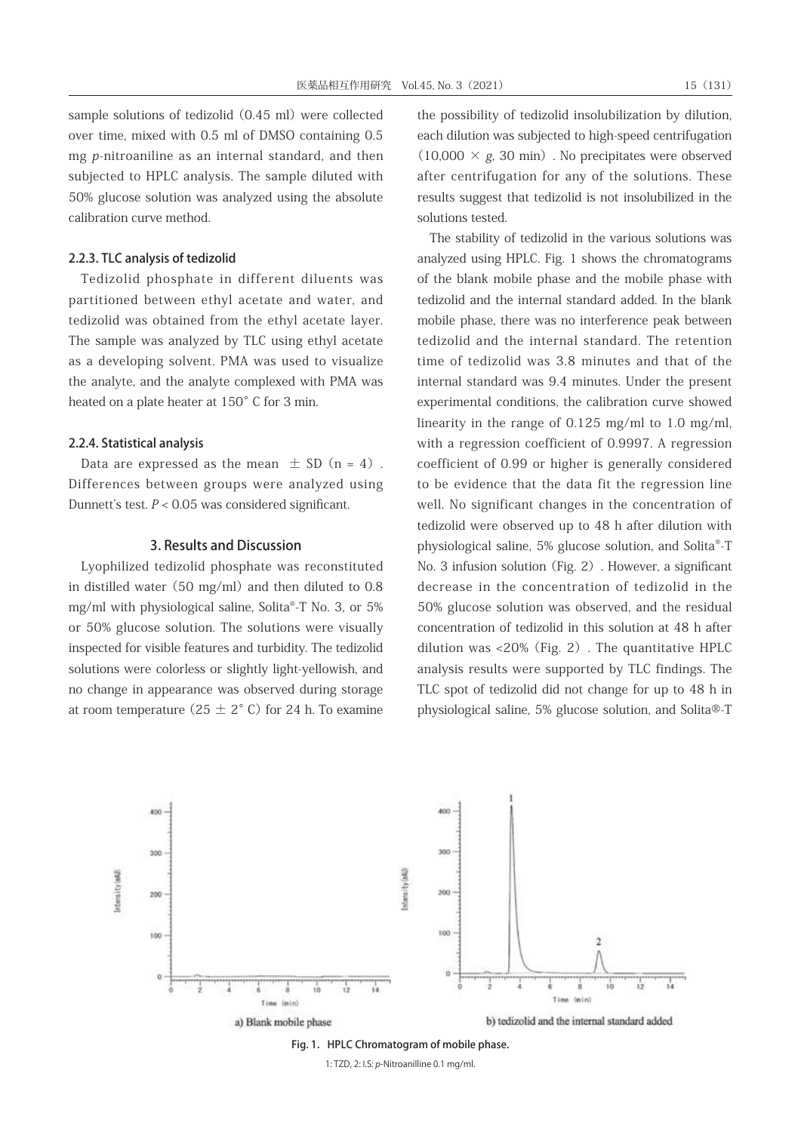sample solutions of tedizolid (0.45 ml) were collected over time, mixed with 0.5 ml of DMSO containing 0.5 mg p-nitroaniline as an internal standard, and then subjected to HPLC analysis. The sample diluted with 50% glucose solution was analyzed using the absolute calibration curve method.

## 2.2.3. TLC analysis of tedizolid

Tedizolid phosphate in different diluents was partitioned between ethyl acetate and water, and tedizolid was obtained from the ethyl acetate layer. The sample was analyzed by TLC using ethyl acetate as a developing solvent. PMA was used to visualize the analyte, and the analyte complexed with PMA was heated on a plate heater at 150°C for 3 min.

#### 2.2.4. Statistical analysis

Data are expressed as the mean  $\pm$  SD (n = 4). Differences between groups were analyzed using Dunnett's test.  $P < 0.05$  was considered significant.

#### 3. Results and Discussion

Lyophilized tedizolid phosphate was reconstituted in distilled water  $(50 \text{ mg/ml})$  and then diluted to 0.8 mg/ml with physiological saline, Solita®-T No. 3, or 5% or 50% glucose solution. The solutions were visually inspected for visible features and turbidity. The tedizolid solutions were colorless or slightly light-yellowish, and no change in appearance was observed during storage at room temperature ( $25 \pm 2^{\circ}$  C) for 24 h. To examine

the possibility of tedizolid insolubilization by dilution, each dilution was subjected to high-speed centrifugation  $(10,000 \times g, 30 \text{ min})$ . No precipitates were observed after centrifugation for any of the solutions. These results suggest that tedizolid is not insolubilized in the solutions tested.

The stability of tedizolid in the various solutions was analyzed using HPLC. Fig. 1 shows the chromatograms of the blank mobile phase and the mobile phase with tedizolid and the internal standard added. In the blank mobile phase, there was no interference peak between tedizolid and the internal standard. The retention time of tedizolid was 3.8 minutes and that of the internal standard was 9.4 minutes. Under the present experimental conditions, the calibration curve showed linearity in the range of 0.125 mg/ml to 1.0 mg/ml, with a regression coefficient of 0.9997. A regression coefficient of 0.99 or higher is generally considered to be evidence that the data fit the regression line well. No significant changes in the concentration of tedizolid were observed up to 48 h after dilution with physiological saline, 5% glucose solution, and Solita®-T No. 3 infusion solution (Fig. 2). However, a significant decrease in the concentration of tedizolid in the 50% glucose solution was observed, and the residual concentration of tedizolid in this solution at 48 h after dilution was <20%(Fig. 2). The quantitative HPLC analysis results were supported by TLC findings. The TLC spot of tedizolid did not change for up to 48 h in physiological saline, 5% glucose solution, and Solita®-T



Fig. 1. HPLC Chromatogram of mobile phase.

1: TZD, 2: I.S: *p*-Nitroanilline 0.1 mg/ml.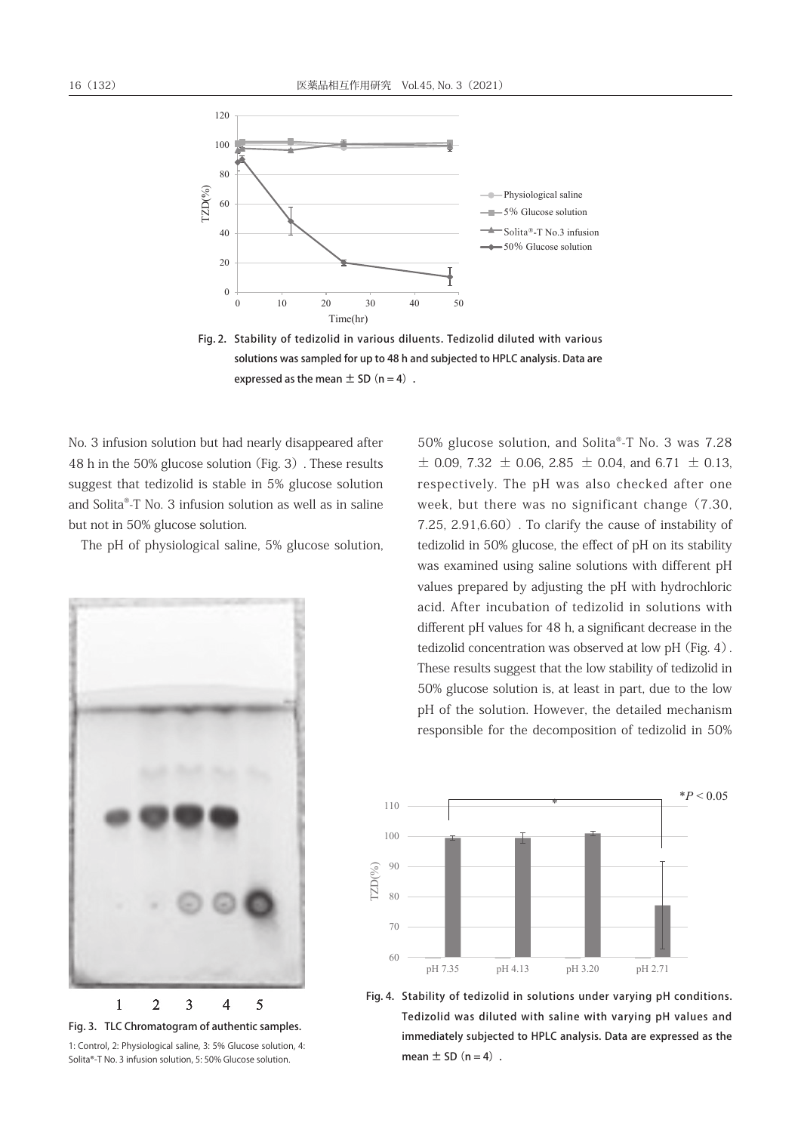

solutions was sampled for up to 48 h and subjected to HPLC analysis. Data are expressed as the mean  $\pm$  SD (n = 4). Fig. 2. Stability of tedizolid in various diluents. Tedizolid diluted with various

No. 3 infusion solution but had nearly disappeared after 48 h in the 50% glucose solution (Fig. 3). These results suggest that tedizolid is stable in 5% glucose solution and Solita®-T No. 3 infusion solution as well as in saline but not in 50% glucose solution.

The pH of physiological saline, 5% glucose solution,



Solita®-T No. 3 infusion solution, 5: 50% Glucose solution. Fig. 3. TLC Chromatogram of authentic samples. 1: Control, 2: Physiological saline, 3: 5% Glucose solution, 4:

50% glucose solution, and Solita®-T No. 3 was 7.28  $\pm$  0.09, 7.32  $\pm$  0.06, 2.85  $\pm$  0.04, and 6.71  $\pm$  0.13, respectively. The pH was also checked after one week, but there was no significant change (7.30, 7.25,  $2.91,6.60$ . To clarify the cause of instability of tedizolid in 50% glucose, the effect of pH on its stability was examined using saline solutions with different pH values prepared by adjusting the pH with hydrochloric acid. After incubation of tedizolid in solutions with different pH values for 48 h, a significant decrease in the tedizolid concentration was observed at low pH (Fig. 4) . These results suggest that the low stability of tedizolid in 50% glucose solution is, at least in part, due to the low pH of the solution. However, the detailed mechanism responsible for the decomposition of tedizolid in 50%



Tedizolid was diluted with saline with varying pH values and immediately subjected to HPLC analysis. Data are expressed as the immediately subjected to HPLC analysis. Data are expressed as the Fig. 4. Stability of tedizolid in solutions under varying pH conditions. mean  $\pm$  SD (n = 4).